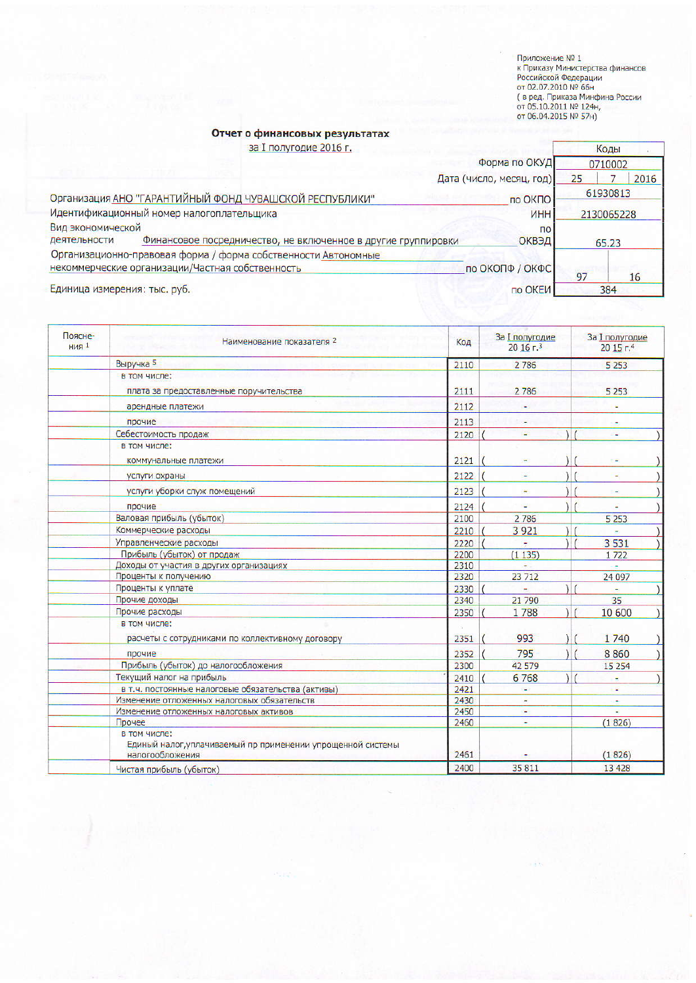Приложение № 1<br>к Приказу Министерства финансов<br>Российской Федерации<br>от 02.07.2010 № 66н<br>( в ред. Приказа Минфина России<br>от 05.10.2011 № 124н,<br>от 06.04.2015 № 57н)

## Отчет о финансовых результатах

за I полугодие 2016 г.

| за I полугодие 2016 г.                                                        |                          |    | Коды       |
|-------------------------------------------------------------------------------|--------------------------|----|------------|
|                                                                               | Форма по ОКУД            |    | 0710002    |
|                                                                               | Дата (число, месяц, год) | 25 | 2016       |
| Организация АНО "ГАРАНТИЙНЫЙ ФОНД ЧУВАШСКОЙ РЕСПУБЛИКИ"                       | по ОКПО                  |    | 61930813   |
| Идентификационный номер налогоплательщика                                     | <b>VHH</b>               |    | 2130065228 |
| Вид экономической                                                             | $\overline{p}$           |    |            |
| деятельности<br>Финансовое посредничество, не включенное в другие группировки | ОКВЭД                    |    | 65.23      |
| Организационно-правовая форма / форма собственности Автономные                |                          |    |            |
| некоммерческие организации/Частная собственность                              | по ОКОПФ / ОКФС          |    |            |
|                                                                               |                          | 97 | 16         |
| Единица измерения: тыс. руб.                                                  | по ОКЕИ                  |    | 384        |

| Поясне-<br><b>НИЯ</b> 1 | Наименование показателя 2                                                                      | Код  | <b>За I полугодие</b><br>20 16 г.3 | <b>За I полугодие</b><br>20 15 г.4 |
|-------------------------|------------------------------------------------------------------------------------------------|------|------------------------------------|------------------------------------|
|                         | Выручка 5                                                                                      | 2110 | 2786                               | 5 2 5 3                            |
|                         | в том числе:                                                                                   |      |                                    |                                    |
|                         | плата за предоставленные поручительства                                                        | 2111 | 2786                               | 5 2 5 3                            |
|                         | арендные платежи                                                                               | 2112 |                                    |                                    |
|                         | прочие                                                                                         | 2113 |                                    |                                    |
|                         | Себестоимость продаж                                                                           | 2120 | ٠                                  |                                    |
|                         | в том числе:                                                                                   |      |                                    |                                    |
|                         | коммунальные платежи                                                                           | 2121 |                                    |                                    |
|                         | услуги охраны                                                                                  | 2122 |                                    |                                    |
|                         | услуги уборки служ помещений                                                                   | 2123 |                                    |                                    |
|                         | прочие                                                                                         | 2124 |                                    |                                    |
|                         | Валовая прибыль (убыток)                                                                       | 2100 | 2786                               | 5 2 5 3                            |
|                         | Коммерческие расходы                                                                           | 2210 | 3 9 2 1                            |                                    |
|                         | Управленческие расходы                                                                         | 2220 |                                    | 3 5 3 1                            |
|                         | Прибыль (убыток) от продаж                                                                     | 2200 | (1135)                             | 1722                               |
|                         | Доходы от участия в других организациях                                                        | 2310 |                                    |                                    |
|                         | Проценты к получению                                                                           | 2320 | 23 712                             | 24 097                             |
|                         | Проценты к уплате                                                                              | 2330 |                                    |                                    |
|                         | Прочие доходы                                                                                  | 2340 | 21 790                             | 35                                 |
|                         | Прочие расходы                                                                                 | 2350 | 1788                               | 10 600                             |
|                         | в том числе:                                                                                   |      |                                    |                                    |
|                         | расчеты с сотрудниками по коллективному договору                                               | 2351 | 993                                | 1740                               |
|                         | прочие                                                                                         | 2352 | 795                                | 8860                               |
|                         | Прибыль (убыток) до налогообложения                                                            | 2300 | 42 579                             | 15 2 5 4                           |
|                         | Текущий налог на прибыль                                                                       | 2410 | 6768                               | ÷                                  |
|                         | в т.ч. постоянные налоговые обязательства (активы)                                             | 2421 | u.                                 | 冨                                  |
|                         | Изменение отложенных налоговых обязательств                                                    | 2430 | $\overline{\phantom{a}}$           | ÷                                  |
|                         | Изменение отложенных налоговых активов                                                         | 2450 |                                    |                                    |
|                         | Прочее                                                                                         | 2460 | ٠                                  | (1826)                             |
|                         | в том числе:<br>Единый налог, уплачиваемый пр применении упрощенной системы<br>налогообложения | 2461 |                                    | (1826)                             |
|                         | Чистая прибыль (убыток)                                                                        | 2400 | 35 811                             | 13 4 28                            |